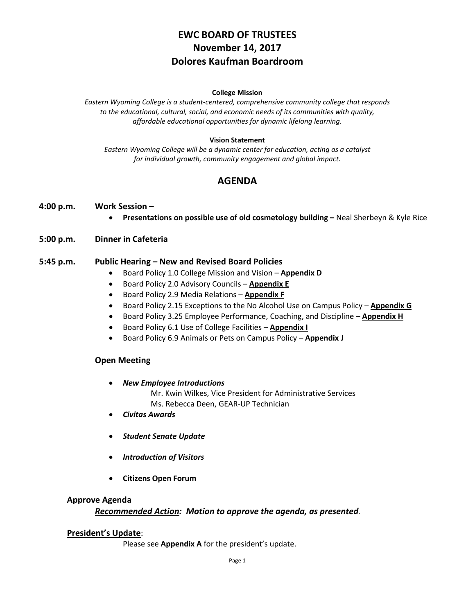# **EWC BOARD OF TRUSTEES November 14, 2017 Dolores Kaufman Boardroom**

#### **College Mission**

*Eastern Wyoming College is a student-centered, comprehensive community college that responds to the educational, cultural, social, and economic needs of its communities with quality, affordable educational opportunities for dynamic lifelong learning.*

#### **Vision Statement**

*Eastern Wyoming College will be a dynamic center for education, acting as a catalyst for individual growth, community engagement and global impact.*

## **AGENDA**

#### **4:00 p.m. Work Session –**

• **Presentations on possible use of old cosmetology building –** Neal Sherbeyn & Kyle Rice

#### **5:00 p.m. Dinner in Cafeteria**

#### **5:45 p.m. Public Hearing – New and Revised Board Policies**

- Board Policy 1.0 College Mission and Vision **Appendix D**
- Board Policy 2.0 Advisory Councils **Appendix E**
- Board Policy 2.9 Media Relations **Appendix F**
- Board Policy 2.15 Exceptions to the No Alcohol Use on Campus Policy **Appendix G**
- Board Policy 3.25 Employee Performance, Coaching, and Discipline **Appendix H**
- Board Policy 6.1 Use of College Facilities **Appendix I**
- Board Policy 6.9 Animals or Pets on Campus Policy **Appendix J**

#### **Open Meeting**

- *New Employee Introductions*
	- Mr. Kwin Wilkes, Vice President for Administrative Services Ms. Rebecca Deen, GEAR-UP Technician
- *Civitas Awards*
- *Student Senate Update*
- *Introduction of Visitors*
- **Citizens Open Forum**

#### **Approve Agenda**

#### *Recommended Action: Motion to approve the agenda, as presented.*

#### **President's Update**:

Please see **Appendix A** for the president's update.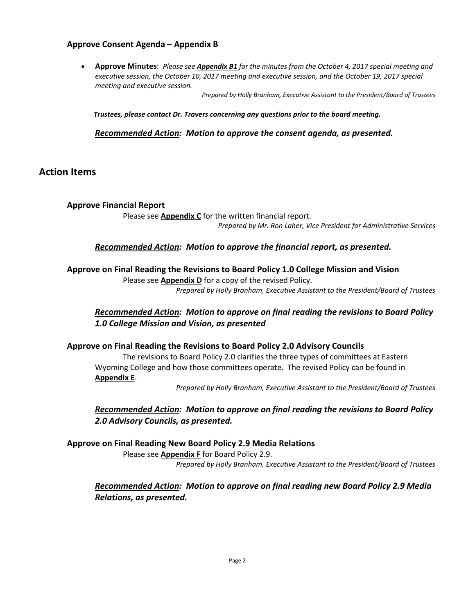### **Approve Consent Agenda** – **Appendix B**

• **Approve Minutes**: *Please see Appendix B1 for the minutes from the October 4, 2017 special meeting and executive session, the October 10, 2017 meeting and executive session, and the October 19, 2017 special meeting and executive session.*

*Prepared by Holly Branham, Executive Assistant to the President/Board of Trustees*

*Trustees, please contact Dr. Travers concerning any questions prior to the board meeting.*

*Recommended Action: Motion to approve the consent agenda, as presented.*

## **Action Items**

### **Approve Financial Report**

Please see **Appendix C** for the written financial report. *Prepared by Mr. Ron Laher, Vice President for Administrative Services*

### *Recommended Action: Motion to approve the financial report, as presented.*

### **Approve on Final Reading the Revisions to Board Policy 1.0 College Mission and Vision**

Please see **Appendix D** for a copy of the revised Policy. *Prepared by Holly Branham, Executive Assistant to the President/Board of Trustees*

### *Recommended Action: Motion to approve on final reading the revisions to Board Policy 1.0 College Mission and Vision, as presented*

### **Approve on Final Reading the Revisions to Board Policy 2.0 Advisory Councils**

The revisions to Board Policy 2.0 clarifies the three types of committees at Eastern Wyoming College and how those committees operate. The revised Policy can be found in **Appendix E**.

*Prepared by Holly Branham, Executive Assistant to the President/Board of Trustees*

## *Recommended Action: Motion to approve on final reading the revisions to Board Policy 2.0 Advisory Councils, as presented.*

### **Approve on Final Reading New Board Policy 2.9 Media Relations**

Please see **Appendix F** for Board Policy 2.9. *Prepared by Holly Branham, Executive Assistant to the President/Board of Trustees*

## *Recommended Action: Motion to approve on final reading new Board Policy 2.9 Media Relations, as presented.*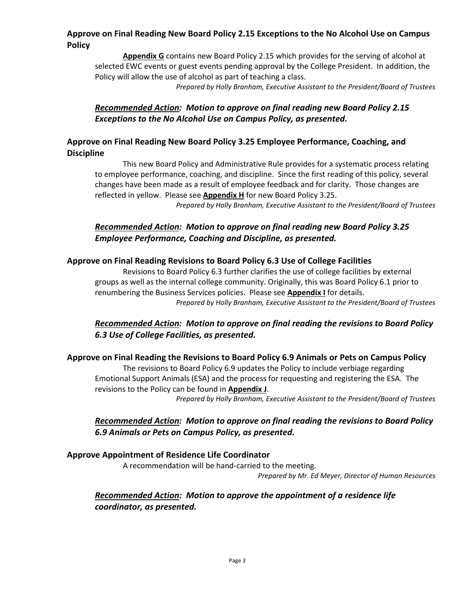## **Approve on Final Reading New Board Policy 2.15 Exceptions to the No Alcohol Use on Campus Policy**

**Appendix G** contains new Board Policy 2.15 which provides for the serving of alcohol at selected EWC events or guest events pending approval by the College President. In addition, the Policy will allow the use of alcohol as part of teaching a class.

*Prepared by Holly Branham, Executive Assistant to the President/Board of Trustees*

## *Recommended Action: Motion to approve on final reading new Board Policy 2.15 Exceptions to the No Alcohol Use on Campus Policy, as presented.*

## **Approve on Final Reading New Board Policy 3.25 Employee Performance, Coaching, and Discipline**

This new Board Policy and Administrative Rule provides for a systematic process relating to employee performance, coaching, and discipline. Since the first reading of this policy, several changes have been made as a result of employee feedback and for clarity. Those changes are reflected in yellow. Please see **Appendix H** for new Board Policy 3.25.

*Prepared by Holly Branham, Executive Assistant to the President/Board of Trustees*

## *Recommended Action: Motion to approve on final reading new Board Policy 3.25 Employee Performance, Coaching and Discipline, as presented.*

## **Approve on Final Reading Revisions to Board Policy 6.3 Use of College Facilities**

Revisions to Board Policy 6.3 further clarifies the use of college facilities by external groups as well as the internal college community. Originally, this was Board Policy 6.1 prior to renumbering the Business Services policies. Please see **Appendix I** for details. *Prepared by Holly Branham, Executive Assistant to the President/Board of Trustees*

## *Recommended Action: Motion to approve on final reading the revisions to Board Policy 6.3 Use of College Facilities, as presented.*

### **Approve on Final Reading the Revisions to Board Policy 6.9 Animals or Pets on Campus Policy**

The revisions to Board Policy 6.9 updates the Policy to include verbiage regarding Emotional Support Animals (ESA) and the process for requesting and registering the ESA. The revisions to the Policy can be found in **Appendix J**.

*Prepared by Holly Branham, Executive Assistant to the President/Board of Trustees*

## *Recommended Action: Motion to approve on final reading the revisions to Board Policy 6.9 Animals or Pets on Campus Policy, as presented.*

### **Approve Appointment of Residence Life Coordinator**

A recommendation will be hand-carried to the meeting.

*Prepared by Mr. Ed Meyer, Director of Human Resources*

## *Recommended Action: Motion to approve the appointment of a residence life coordinator, as presented.*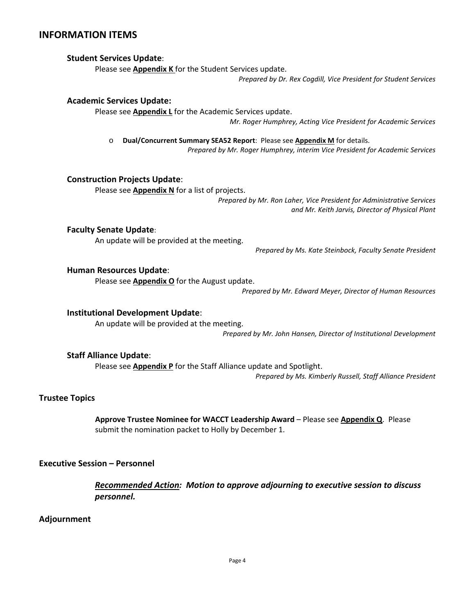## **INFORMATION ITEMS**

#### **Student Services Update**:

Please see **Appendix K** for the Student Services update.

*Prepared by Dr. Rex Cogdill, Vice President for Student Services*

#### **Academic Services Update:**

Please see **Appendix L** for the Academic Services update.

*Mr. Roger Humphrey, Acting Vice President for Academic Services*

o **Dual/Concurrent Summary SEA52 Report**: Please see **Appendix M** for details.

*Prepared by Mr. Roger Humphrey, interim Vice President for Academic Services*

#### **Construction Projects Update**:

Please see **Appendix N** for a list of projects.

*Prepared by Mr. Ron Laher, Vice President for Administrative Services and Mr. Keith Jarvis, Director of Physical Plant*

#### **Faculty Senate Update**:

An update will be provided at the meeting.

*Prepared by Ms. Kate Steinbock, Faculty Senate President*

#### **Human Resources Update**:

Please see **Appendix O** for the August update.

*Prepared by Mr. Edward Meyer, Director of Human Resources*

#### **Institutional Development Update**:

An update will be provided at the meeting.

*Prepared by Mr. John Hansen, Director of Institutional Development*

#### **Staff Alliance Update**:

Please see **Appendix P** for the Staff Alliance update and Spotlight.

*Prepared by Ms. Kimberly Russell, Staff Alliance President*

### **Trustee Topics**

**Approve Trustee Nominee for WACCT Leadership Award** – Please see **Appendix Q**. Please submit the nomination packet to Holly by December 1.

#### **Executive Session – Personnel**

*Recommended Action: Motion to approve adjourning to executive session to discuss personnel.*

#### **Adjournment**